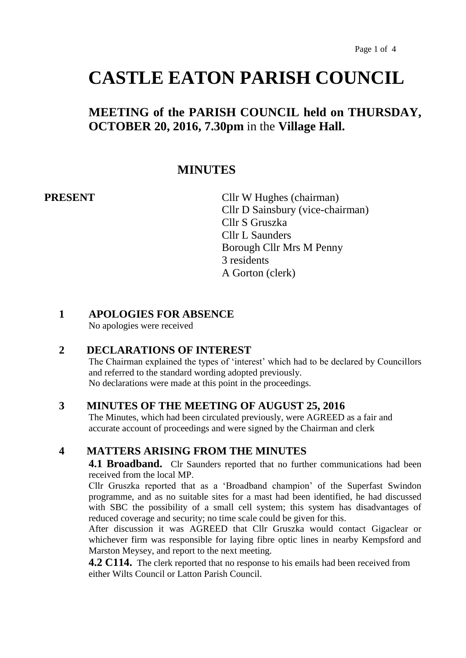# **CASTLE EATON PARISH COUNCIL**

# **MEETING of the PARISH COUNCIL held on THURSDAY, OCTOBER 20, 2016, 7.30pm** in the **Village Hall.**

# **MINUTES**

**PRESENT** Cllr W Hughes (chairman) Cllr D Sainsbury (vice-chairman) Cllr S Gruszka Cllr L Saunders Borough Cllr Mrs M Penny 3 residents A Gorton (clerk)

#### **1 APOLOGIES FOR ABSENCE**

No apologies were received

### **2 DECLARATIONS OF INTEREST**

The Chairman explained the types of 'interest' which had to be declared by Councillors and referred to the standard wording adopted previously. No declarations were made at this point in the proceedings.

#### **3 MINUTES OF THE MEETING OF AUGUST 25, 2016**

The Minutes, which had been circulated previously, were AGREED as a fair and accurate account of proceedings and were signed by the Chairman and clerk

### **4 MATTERS ARISING FROM THE MINUTES**

**4.1 Broadband.** Clr Saunders reported that no further communications had been received from the local MP.

Cllr Gruszka reported that as a 'Broadband champion' of the Superfast Swindon programme, and as no suitable sites for a mast had been identified, he had discussed with SBC the possibility of a small cell system; this system has disadvantages of reduced coverage and security; no time scale could be given for this.

After discussion it was AGREED that Cllr Gruszka would contact Gigaclear or whichever firm was responsible for laying fibre optic lines in nearby Kempsford and Marston Meysey, and report to the next meeting.

**4.2 C114.** The clerk reported that no response to his emails had been received from either Wilts Council or Latton Parish Council.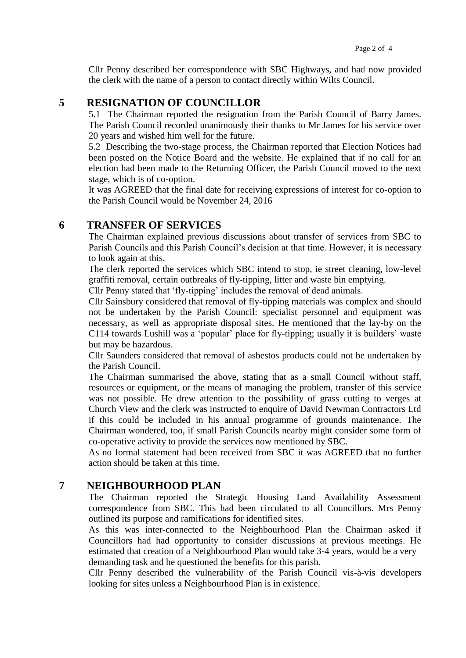Cllr Penny described her correspondence with SBC Highways, and had now provided the clerk with the name of a person to contact directly within Wilts Council.

### **5 RESIGNATION OF COUNCILLOR**

5.1 The Chairman reported the resignation from the Parish Council of Barry James. The Parish Council recorded unanimously their thanks to Mr James for his service over 20 years and wished him well for the future.

5.2 Describing the two-stage process, the Chairman reported that Election Notices had been posted on the Notice Board and the website. He explained that if no call for an election had been made to the Returning Officer, the Parish Council moved to the next stage, which is of co-option.

It was AGREED that the final date for receiving expressions of interest for co-option to the Parish Council would be November 24, 2016

#### **6 TRANSFER OF SERVICES**

The Chairman explained previous discussions about transfer of services from SBC to Parish Councils and this Parish Council's decision at that time. However, it is necessary to look again at this.

The clerk reported the services which SBC intend to stop, ie street cleaning, low-level graffiti removal, certain outbreaks of fly-tipping, litter and waste bin emptying.

Cllr Penny stated that 'fly-tipping' includes the removal of dead animals.

Cllr Sainsbury considered that removal of fly-tipping materials was complex and should not be undertaken by the Parish Council: specialist personnel and equipment was necessary, as well as appropriate disposal sites. He mentioned that the lay-by on the C114 towards Lushill was a 'popular' place for fly-tipping; usually it is builders' waste but may be hazardous.

Cllr Saunders considered that removal of asbestos products could not be undertaken by the Parish Council.

The Chairman summarised the above, stating that as a small Council without staff, resources or equipment, or the means of managing the problem, transfer of this service was not possible. He drew attention to the possibility of grass cutting to verges at Church View and the clerk was instructed to enquire of David Newman Contractors Ltd if this could be included in his annual programme of grounds maintenance. The Chairman wondered, too, if small Parish Councils nearby might consider some form of co-operative activity to provide the services now mentioned by SBC.

As no formal statement had been received from SBC it was AGREED that no further action should be taken at this time.

#### **7 NEIGHBOURHOOD PLAN**

The Chairman reported the Strategic Housing Land Availability Assessment correspondence from SBC. This had been circulated to all Councillors. Mrs Penny outlined its purpose and ramifications for identified sites.

As this was inter-connected to the Neighbourhood Plan the Chairman asked if Councillors had had opportunity to consider discussions at previous meetings. He estimated that creation of a Neighbourhood Plan would take 3-4 years, would be a very demanding task and he questioned the benefits for this parish.

Cllr Penny described the vulnerability of the Parish Council vis-à-vis developers looking for sites unless a Neighbourhood Plan is in existence.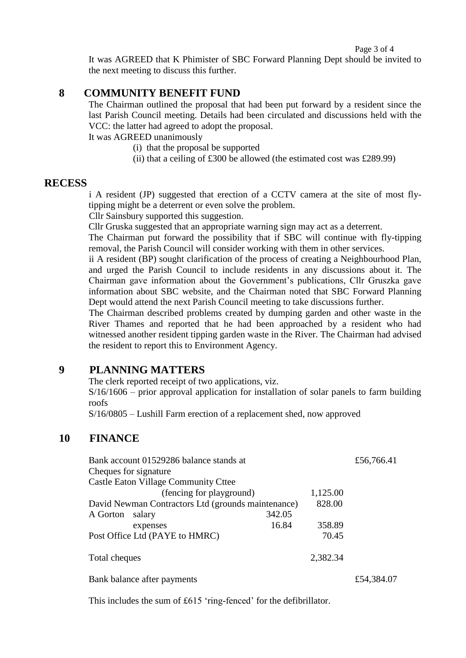#### Page 3 of 4

It was AGREED that K Phimister of SBC Forward Planning Dept should be invited to the next meeting to discuss this further.

#### **8 COMMUNITY BENEFIT FUND**

The Chairman outlined the proposal that had been put forward by a resident since the last Parish Council meeting. Details had been circulated and discussions held with the VCC: the latter had agreed to adopt the proposal.

It was AGREED unanimously

- (i) that the proposal be supported
- (ii) that a ceiling of £300 be allowed (the estimated cost was £289.99)

#### **RECESS**

i A resident (JP) suggested that erection of a CCTV camera at the site of most flytipping might be a deterrent or even solve the problem.

Cllr Sainsbury supported this suggestion.

Cllr Gruska suggested that an appropriate warning sign may act as a deterrent.

The Chairman put forward the possibility that if SBC will continue with fly-tipping removal, the Parish Council will consider working with them in other services.

ii A resident (BP) sought clarification of the process of creating a Neighbourhood Plan, and urged the Parish Council to include residents in any discussions about it. The Chairman gave information about the Government's publications, Cllr Gruszka gave information about SBC website, and the Chairman noted that SBC Forward Planning Dept would attend the next Parish Council meeting to take discussions further.

The Chairman described problems created by dumping garden and other waste in the River Thames and reported that he had been approached by a resident who had witnessed another resident tipping garden waste in the River. The Chairman had advised the resident to report this to Environment Agency.

### **9 PLANNING MATTERS**

The clerk reported receipt of two applications, viz.

 $S/16/1606$  – prior approval application for installation of solar panels to farm building roofs

S/16/0805 – Lushill Farm erection of a replacement shed, now approved

### **10 FINANCE**

| Bank account 01529286 balance stands at            |        |          | £56,766.41 |
|----------------------------------------------------|--------|----------|------------|
| Cheques for signature                              |        |          |            |
| <b>Castle Eaton Village Community Cttee</b>        |        |          |            |
| (fencing for playground)                           |        | 1,125.00 |            |
| David Newman Contractors Ltd (grounds maintenance) |        | 828.00   |            |
| A Gorton<br>salary                                 | 342.05 |          |            |
| expenses                                           | 16.84  | 358.89   |            |
| Post Office Ltd (PAYE to HMRC)                     |        | 70.45    |            |
| Total cheques                                      |        | 2,382.34 |            |
| Bank balance after payments                        |        |          | £54,384.07 |

This includes the sum of £615 'ring-fenced' for the defibrillator.